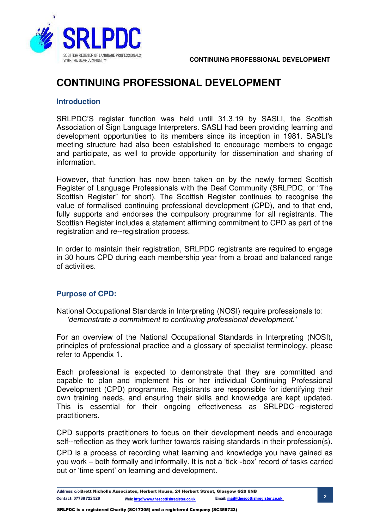

#### **Introduction**

SRLPDC'S register function was held until 31.3.19 by SASLI, the Scottish Association of Sign Language Interpreters. SASLI had been providing learning and development opportunities to its members since its inception in 1981. SASLI's meeting structure had also been established to encourage members to engage and participate, as well to provide opportunity for dissemination and sharing of information.

However, that function has now been taken on by the newly formed Scottish Register of Language Professionals with the Deaf Community (SRLPDC, or "The Scottish Register" for short). The Scottish Register continues to recognise the value of formalised continuing professional development (CPD), and to that end, fully supports and endorses the compulsory programme for all registrants. The Scottish Register includes a statement affirming commitment to CPD as part of the registration and re--registration process.

In order to maintain their registration, SRLPDC registrants are required to engage in 30 hours CPD during each membership year from a broad and balanced range of activities.

## **Purpose of CPD:**

National Occupational Standards in Interpreting (NOSI) require professionals to: *'demonstrate a commitment to continuing professional development.'*

For an overview of the National Occupational Standards in Interpreting (NOSI), principles of professional practice and a glossary of specialist terminology, please refer to Appendix 1.

Each professional is expected to demonstrate that they are committed and capable to plan and implement his or her individual Continuing Professional Development (CPD) programme. Registrants are responsible for identifying their own training needs, and ensuring their skills and knowledge are kept updated. This is essential for their ongoing effectiveness as SRLPDC--registered practitioners.

CPD supports practitioners to focus on their development needs and encourage self--reflection as they work further towards raising standards in their profession(s).

CPD is a process of recording what learning and knowledge you have gained as you work – both formally and informally. It is not a 'tick-box' record of tasks carried out or 'time spent' on learning and development.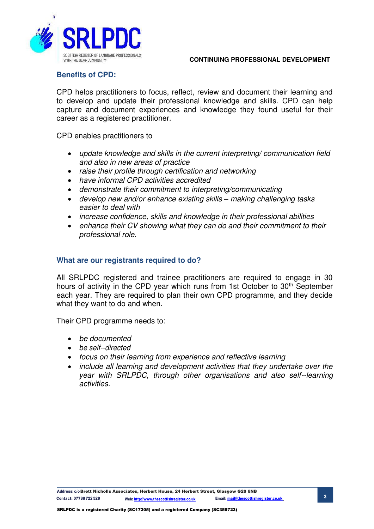

## **Benefits of CPD:**

CPD helps practitioners to focus, reflect, review and document their learning and to develop and update their professional knowledge and skills. CPD can help capture and document experiences and knowledge they found useful for their career as a registered practitioner.

CPD enables practitioners to

- update knowledge and skills in the current interpreting/ communication field and also in new areas of practice
- raise their profile through certification and networking
- have informal CPD activities accredited
- demonstrate their commitment to interpreting/communicating
- develop new and/or enhance existing skills *–* making challenging tasks easier to deal with
- increase confidence, skills and knowledge in their professional abilities
- enhance their CV showing what they can do and their commitment to their professional role.

#### **What are our registrants required to do?**

All SRLPDC registered and trainee practitioners are required to engage in 30 hours of activity in the CPD year which runs from 1st October to 30<sup>th</sup> September each year. They are required to plan their own CPD programme, and they decide what they want to do and when.

Their CPD programme needs to:

- be documented
- be self--directed
- focus on their learning from experience and reflective learning
- include all learning and development activities that they undertake over the year with SRLPDC, through other organisations and also self--learning activities.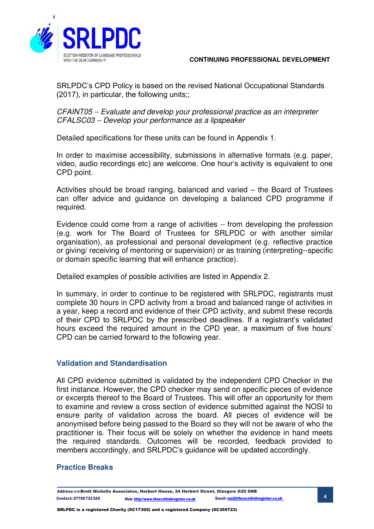

SRLPDC's CPD Policy is based on the revised National Occupational Standards (2017), in particular, the following units;;

CFAINT05 -- Evaluate and develop your professional practice as an interpreter CFALSC03 -- Develop your performance as a lipspeaker

Detailed specifications for these units can be found in Appendix 1.

In order to maximise accessibility, submissions in alternative formats (e.g. paper, video, audio recordings etc) are welcome. One hour's activity is equivalent to one CPD point.

Activities should be broad ranging, balanced and varied – the Board of Trustees can offer advice and guidance on developing a balanced CPD programme if required.

Evidence could come from a range of activities -- from developing the profession (e.g. work for The Board of Trustees for SRLPDC or with another similar organisation), as professional and personal development (e.g. reflective practice or giving/ receiving of mentoring or supervision) or as training (interpreting--specific or domain specific learning that will enhance practice).

Detailed examples of possible activities are listed in Appendix 2.

In summary, in order to continue to be registered with SRLPDC, registrants must complete 30 hours in CPD activity from a broad and balanced range of activities in a year, keep a record and evidence of their CPD activity, and submit these records of their CPD to SRLPDC by the prescribed deadlines. If a registrant's validated hours exceed the required amount in the CPD year, a maximum of five hours' CPD can be carried forward to the following year.

## **Validation and Standardisation**

All CPD evidence submitted is validated by the independent CPD Checker in the first instance. However, the CPD checker may send on specific pieces of evidence or excerpts thereof to the Board of Trustees. This will offer an opportunity for them to examine and review a cross section of evidence submitted against the NOSI to ensure parity of validation across the board. All pieces of evidence will be anonymised before being passed to the Board so they will not be aware of who the practitioner is. Their focus will be solely on whether the evidence in hand meets the required standards. Outcomes will be recorded, feedback provided to members accordingly, and SRLPDC's guidance will be updated accordingly.

## **Practice Breaks**

Address: c/o Brett Nicholls Associates, Herbert House, 24 Herbert Street, Glasgow G20 6NB **4** Contact: 07788 722 528 Web[: http://www.thescottishregister.co.uk](http://www.thescottishregister.co.uk/) Email[: mail@thescottishregister.co.uk](mailto:mail@thescottishregister.co.uk)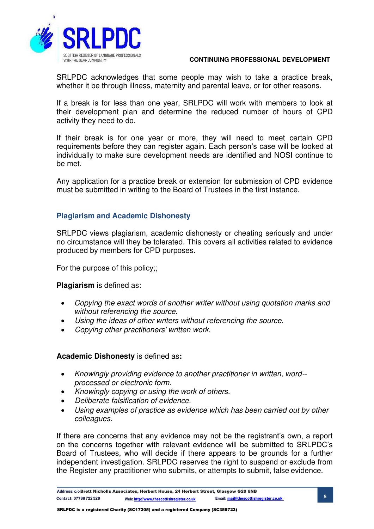

SRLPDC acknowledges that some people may wish to take a practice break, whether it be through illness, maternity and parental leave, or for other reasons.

If a break is for less than one year, SRLPDC will work with members to look at their development plan and determine the reduced number of hours of CPD activity they need to do.

If their break is for one year or more, they will need to meet certain CPD requirements before they can register again. Each person's case will be looked at individually to make sure development needs are identified and NOSI continue to be met.

Any application for a practice break or extension for submission of CPD evidence must be submitted in writing to the Board of Trustees in the first instance.

## **Plagiarism and Academic Dishonesty**

SRLPDC views plagiarism, academic dishonesty or cheating seriously and under no circumstance will they be tolerated. This covers all activities related to evidence produced by members for CPD purposes.

For the purpose of this policy;;

## **Plagiarism** is defined as:

- Copying the exact words of another writer without using quotation marks and without referencing the source.
- Using the ideas of other writers without referencing the source.
- Copying other practitioners' written work.

## **Academic Dishonesty** is defined as**:**

- Knowingly providing evidence to another practitioner in written, word- processed or electronic form.
- Knowingly copying or using the work of others.
- Deliberate falsification of evidence.
- Using examples of practice as evidence which has been carried out by other colleagues.

If there are concerns that any evidence may not be the registrant's own, a report on the concerns together with relevant evidence will be submitted to SRLPDC's Board of Trustees, who will decide if there appears to be grounds for a further independent investigation. SRLPDC reserves the right to suspend or exclude from the Register any practitioner who submits, or attempts to submit, false evidence.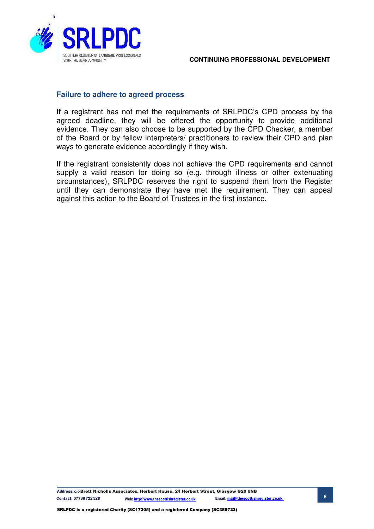

## **Failure to adhere to agreed process**

If a registrant has not met the requirements of SRLPDC's CPD process by the agreed deadline, they will be offered the opportunity to provide additional evidence. They can also choose to be supported by the CPD Checker, a member of the Board or by fellow interpreters/ practitioners to review their CPD and plan ways to generate evidence accordingly if they wish.

If the registrant consistently does not achieve the CPD requirements and cannot supply a valid reason for doing so (e.g. through illness or other extenuating circumstances), SRLPDC reserves the right to suspend them from the Register until they can demonstrate they have met the requirement. They can appeal against this action to the Board of Trustees in the first instance.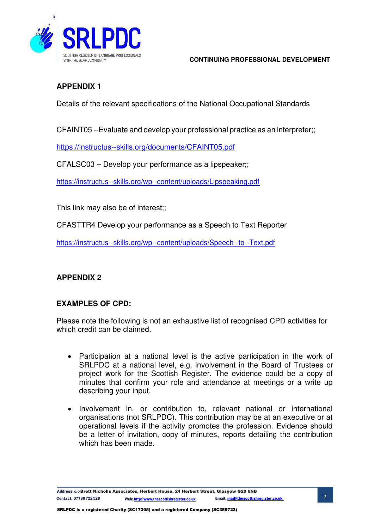

# **APPENDIX 1**

Details of the relevant specifications of the National Occupational Standards

CFAINT05 --Evaluate and develop your professional practice as an interpreter;;

https://instructus--skills.org/documents/CFAINT05.pdf

CFALSC03 -- Develop your performance as a lipspeaker;;

https://instructus--skills.org/wp--content/uploads/Lipspeaking.pdf

This link may also be of interest;;

CFASTTR4 Develop your performance as a Speech to Text Reporter

https://instructus--skills.org/wp--content/uploads/Speech--to--Text.pdf

## **APPENDIX 2**

## **EXAMPLES OF CPD:**

Please note the following is not an exhaustive list of recognised CPD activities for which credit can be claimed.

- Participation at a national level is the active participation in the work of SRLPDC at a national level, e.g. involvement in the Board of Trustees or project work for the Scottish Register. The evidence could be a copy of minutes that confirm your role and attendance at meetings or a write up describing your input.
- Involvement in, or contribution to, relevant national or international organisations (not SRLPDC). This contribution may be at an executive or at operational levels if the activity promotes the profession. Evidence should be a letter of invitation, copy of minutes, reports detailing the contribution which has been made.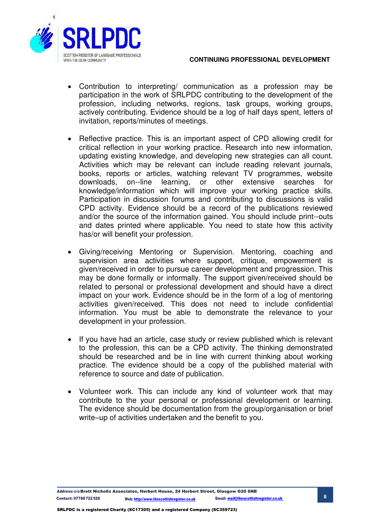

- Contribution to interpreting/ communication as a profession may be participation in the work of SRLPDC contributing to the development of the profession, including networks, regions, task groups, working groups, actively contributing. Evidence should be a log of half days spent, letters of invitation, reports/minutes of meetings.
- Reflective practice. This is an important aspect of CPD allowing credit for critical reflection in your working practice. Research into new information, updating existing knowledge, and developing new strategies can all count. Activities which may be relevant can include reading relevant journals, books, reports or articles, watching relevant TV programmes, website downloads, on-line learning, or other extensive searches for or other extensive searches for knowledge/information which will improve your working practice skills. Participation in discussion forums and contributing to discussions is valid CPD activity. Evidence should be a record of the publications reviewed and/or the source of the information gained. You should include print--outs and dates printed where applicable. You need to state how this activity has/or will benefit your profession.
- Giving/receiving Mentoring or Supervision. Mentoring, coaching and supervision area activities where support, critique, empowerment is given/received in order to pursue career development and progression. This may be done formally or informally. The support given/received should be related to personal or professional development and should have a direct impact on your work. Evidence should be in the form of a log of mentoring activities given/received. This does not need to include confidential information. You must be able to demonstrate the relevance to your development in your profession.
- If you have had an article, case study or review published which is relevant to the profession, this can be a CPD activity. The thinking demonstrated should be researched and be in line with current thinking about working practice. The evidence should be a copy of the published material with reference to source and date of publication.
- Volunteer work. This can include any kind of volunteer work that may contribute to the your personal or professional development or learning. The evidence should be documentation from the group/organisation or brief write–up of activities undertaken and the benefit to you.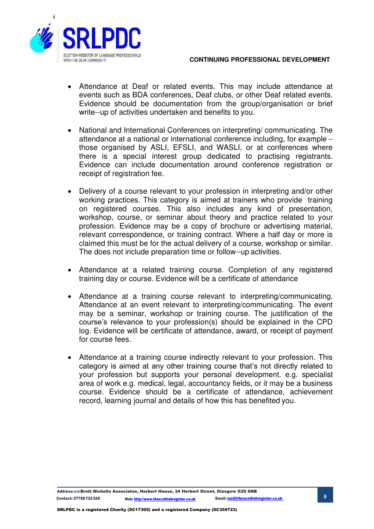

- Attendance at Deaf or related events. This may include attendance at events such as BDA conferences, Deaf clubs, or other Deaf related events. Evidence should be documentation from the group/organisation or brief write--up of activities undertaken and benefits to you.
- National and International Conferences on interpreting/ communicating. The attendance at a national or international conference including, for example - those organised by ASLI, EFSLI, and WASLI, or at conferences where there is a special interest group dedicated to practising registrants. Evidence can include documentation around conference registration or receipt of registration fee.
- Delivery of a course relevant to your profession in interpreting and/or other working practices. This category is aimed at trainers who provide training on registered courses. This also includes any kind of presentation, workshop, course, or seminar about theory and practice related to your profession. Evidence may be a copy of brochure or advertising material, relevant correspondence, or training contract. Where a half day or more is claimed this must be for the actual delivery of a course, workshop or similar. The does not include preparation time or follow--up activities.
- Attendance at a related training course. Completion of any registered training day or course. Evidence will be a certificate of attendance
- Attendance at a training course relevant to interpreting/communicating. Attendance at an event relevant to interpreting/communicating. The event may be a seminar, workshop or training course. The justification of the course's relevance to your profession(s) should be explained in the CPD log. Evidence will be certificate of attendance, award, or receipt of payment for course fees.
- Attendance at a training course indirectly relevant to your profession. This category is aimed at any other training course that's not directly related to your profession but supports your personal development. e.g. specialist area of work e.g. medical, legal, accountancy fields, or it may be a business course. Evidence should be a certificate of attendance, achievement record, learning journal and details of how this has benefited you.